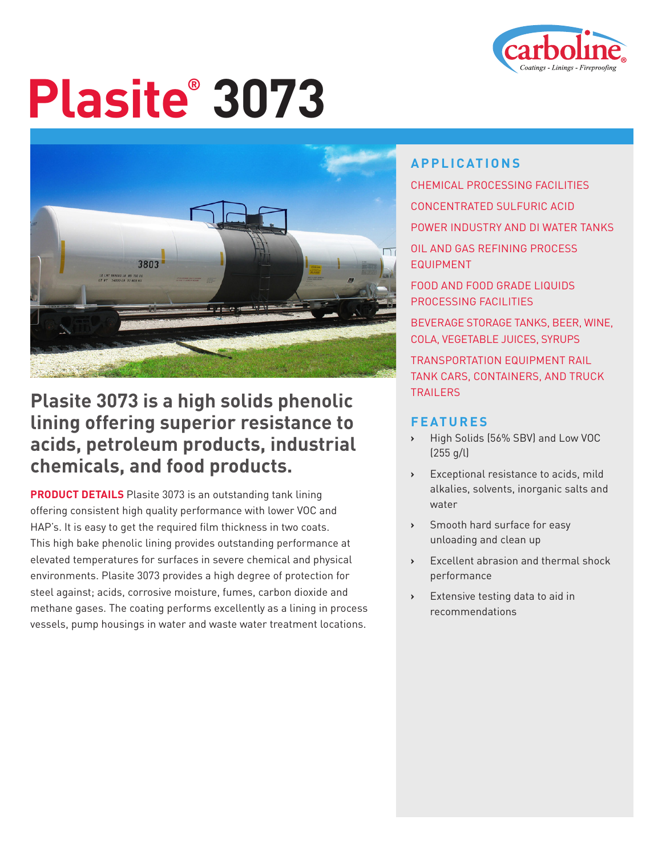

# **Plasite® 3073**



#### **Plasite 3073 is a high solids phenolic lining offering superior resistance to acids, petroleum products, industrial chemicals, and food products.**

**PRODUCT DETAILS** Plasite 3073 is an outstanding tank lining offering consistent high quality performance with lower VOC and HAP's. It is easy to get the required film thickness in two coats. This high bake phenolic lining provides outstanding performance at elevated temperatures for surfaces in severe chemical and physical environments. Plasite 3073 provides a high degree of protection for steel against; acids, corrosive moisture, fumes, carbon dioxide and methane gases. The coating performs excellently as a lining in process vessels, pump housings in water and waste water treatment locations.

#### **APPLICATIONS**

CHEMICAL PROCESSING FACILITIES CONCENTRATED SULFURIC ACID POWER INDUSTRY AND DI WATER TANKS OIL AND GAS REFINING PROCESS EQUIPMENT FOOD AND FOOD GRADE LIQUIDS PROCESSING FACILITIES BEVERAGE STORAGE TANKS, BEER, WINE, COLA, VEGETABLE JUICES, SYRUPS TRANSPORTATION EQUIPMENT RAIL TANK CARS, CONTAINERS, AND TRUCK **TRAILERS** 

#### **FEATURES**

- **›** High Solids (56% SBV) and Low VOC (255 g/l)
- **›** Exceptional resistance to acids, mild alkalies, solvents, inorganic salts and water
- **›** Smooth hard surface for easy unloading and clean up
- **›** Excellent abrasion and thermal shock performance
- **›** Extensive testing data to aid in recommendations